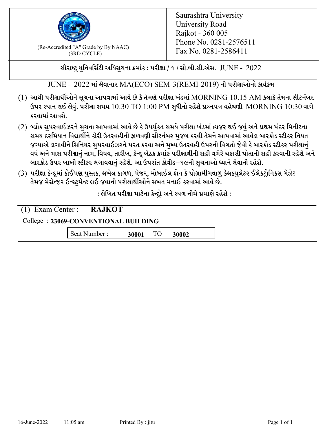

 $F_{\text{R}}$  (Re-Accredited "A" Grade by By NAAC)<br>(3PD CVCLE)<br> $F_{\text{R}}$  No. 0281-2586411 (3RD CYCLE)

સૌરાષ્ટ્ર યુનિવર્સિટી અધિસુચના ક્રમાંક : પરીક્ષા / ૧ / સી.બી.સી.એસ.  $\,$  JUNE -  $\,2022$ 

JUNE - 2022 માં લેવાનાર MA(ECO) SEM-3(REMI-2019) ની પરીક્ષાઓનો કાર્યક્રમ

- $(1)$  આથી પરીક્ષાર્થીઓને સૂચના આપવામાં આવે છે કે તેમણે પરીક્ષા ખંડમાં  $\operatorname{MORNING}$   $10.15$   $\operatorname{AM}$  કલાકે તેમના સીટનંબર ઉપર સ્થાન લઈ લેવું. પરીક્ષા સમય  $10:30 \text{ TO } 1:00 \text{ PM}$  સુધીનો રહેશે પ્રશ્નપત્ર વહેચણી  $\text{MORNING } 10:30$  વાગે કરવામાં આવશે.
- (2) બ્લોક સુપરવાઈઝરને સુચના આપવામાં આવે છે કે ઉપર્યુકત સમયે પરીક્ષા ખંડમાં હાજર થઈ જવું અને પ્રથમ પંદર મિનીટના સમય દરમિયાન વિદ્યાર્થીને કોરી ઉતરવહીની ફાળવણી સીટનંબર મજબ કરવી તેમને આપવામાં આવેલ બારકોડ સ્ટીકર નિયત જગ્યાએ લગાવીને સિનિયર સુપરવાઈઝરને પરત કરવા અને મુખ્ય ઉતરવહી ઉપરની વિગતો જેવી કે બારકોડ સ્ટીકર પરીક્ષ<u>ાન</u>ં વર્ષ અને માસ પરીક્ષાનું નામ, વિષય, તારીખ, કેન્દ્ર બેઠક ક્રમાંક પરીક્ષાર્થીની સહી વગેરે ચકાસી પોતાની સહી કરવાની રહેશે અને બારકોડ ઉપર ખાખી સ્ટીકર લગાવવાનં રહેશે. આ ઉપરાંત કોવીડ–૧૯ની સચનાઓ ધ્યાને લેવાની રહેશે.
- (3) પરીક્ષા કેન્દ્રમાં કોઈપણ પુસ્તક, લખેલ કાગળ, પેજર, મોબાઈલ ફોન કે પ્રોગ્રામીંગવાળુ કેલકયુલેટર ઈલેકટ્રોનિકસ ગેઝેટ તેમજ મેસેન્જર ઈન્સ્ટમેન્ટ લઈ જવાની પરીક્ષાર્થીઓને સખત મનાઈ કરવામાં આવે છે.

: લેખિત પરીક્ષા માટેના કેન્દ્દો અને સ્થળ નીચે પ્રમાણે રહેશે :

|                                      | $(1)$ Exam Center : <b>RAJKOT</b> |       |    |       |  |  |
|--------------------------------------|-----------------------------------|-------|----|-------|--|--|
| College: 23069-CONVENTIONAL BUILDING |                                   |       |    |       |  |  |
|                                      | Seat Number:                      | 30001 | TO | 30002 |  |  |